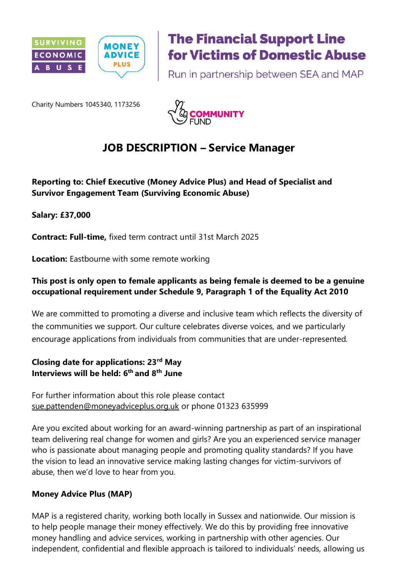

# **The Financial Support Line for Victims of Domestic Abuse**

Run in partnership between SEA and MAP

Charity Numbers 1045340, 1173256



# **JOB DESCRIPTION – Service Manager**

## **Reporting to: Chief Executive (Money Advice Plus) and Head of Specialist and Survivor Engagement Team (Surviving Economic Abuse)**

**Salary: £37,000**

**Contract: Full-time,** fixed term contract until 31st March 2025

**Location:** Eastbourne with some remote working

#### **This post is only open to female applicants as being female is deemed to be a genuine occupational requirement under Schedule 9, Paragraph 1 of the Equality Act 2010**

We are committed to promoting a diverse and inclusive team which reflects the diversity of the communities we support. Our culture celebrates diverse voices, and we particularly encourage applications from individuals from communities that are under-represented*.*

#### **Closing date for applications: 23rd May Interviews will be held: 6 th and 8th June**

For further information about this role please contact [sue.pattenden@moneyadviceplus.org.uk](mailto:sue.pattenden@moneyadviceplus.org.uk) or phone 01323 635999

Are you excited about working for an award-winning partnership as part of an inspirational team delivering real change for women and girls? Are you an experienced service manager who is passionate about managing people and promoting quality standards? If you have the vision to lead an innovative service making lasting changes for victim-survivors of abuse, then we'd love to hear from you.

#### **Money Advice Plus (MAP)**

MAP is a registered charity, working both locally in Sussex and nationwide. Our mission is to help people manage their money effectively. We do this by providing free innovative money handling and advice services, working in partnership with other agencies. Our independent, confidential and flexible approach is tailored to individuals' needs, allowing us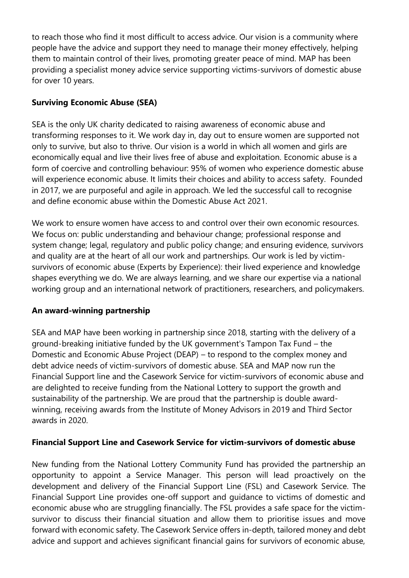to reach those who find it most difficult to access advice. Our vision is a community where people have the advice and support they need to manage their money effectively, helping them to maintain control of their lives, promoting greater peace of mind. MAP has been providing a specialist money advice service supporting victims-survivors of domestic abuse for over 10 years.

#### **Surviving Economic Abuse (SEA)**

SEA is the only UK charity dedicated to raising awareness of economic abuse and transforming responses to it. We work day in, day out to ensure women are supported not only to survive, but also to thrive. Our vision is a world in which all women and girls are economically equal and live their lives free of abuse and exploitation. Economic abuse is a form of coercive and controlling behaviour: 95% of women who experience domestic abuse will experience economic abuse. It limits their choices and ability to access safety. Founded in 2017, we are purposeful and agile in approach. We led the successful call to recognise and define economic abuse within the Domestic Abuse Act 2021.

We work to ensure women have access to and control over their own economic resources. We focus on: public understanding and behaviour change; professional response and system change; legal, regulatory and public policy change; and ensuring evidence, survivors and quality are at the heart of all our work and partnerships. Our work is led by victimsurvivors of economic abuse (Experts by Experience): their lived experience and knowledge shapes everything we do. We are always learning, and we share our expertise via a national working group and an international network of practitioners, researchers, and policymakers.

#### **An award-winning partnership**

SEA and MAP have been working in partnership since 2018, starting with the delivery of a ground-breaking initiative funded by the UK government's Tampon Tax Fund – the Domestic and Economic Abuse Project (DEAP) – to respond to the complex money and debt advice needs of victim-survivors of domestic abuse. SEA and MAP now run the Financial Support line and the Casework Service for victim-survivors of economic abuse and are delighted to receive funding from the National Lottery to support the growth and sustainability of the partnership. We are proud that the partnership is double awardwinning, receiving awards from the Institute of Money Advisors in 2019 and Third Sector awards in 2020.

#### **Financial Support Line and Casework Service for victim-survivors of domestic abuse**

New funding from the National Lottery Community Fund has provided the partnership an opportunity to appoint a Service Manager. This person will lead proactively on the development and delivery of the Financial Support Line (FSL) and Casework Service. The Financial Support Line provides one-off support and guidance to victims of domestic and economic abuse who are struggling financially. The FSL provides a safe space for the victimsurvivor to discuss their financial situation and allow them to prioritise issues and move forward with economic safety. The Casework Service offers in-depth, tailored money and debt advice and support and achieves significant financial gains for survivors of economic abuse,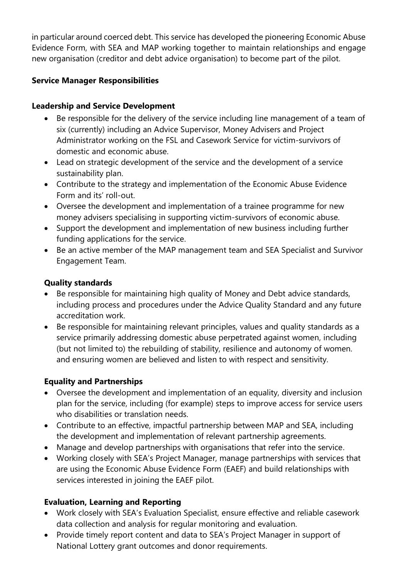in particular around coerced debt. This service has developed the pioneering Economic Abuse Evidence Form, with SEA and MAP working together to maintain relationships and engage new organisation (creditor and debt advice organisation) to become part of the pilot.

## **Service Manager Responsibilities**

#### **Leadership and Service Development**

- Be responsible for the delivery of the service including line management of a team of six (currently) including an Advice Supervisor, Money Advisers and Project Administrator working on the FSL and Casework Service for victim-survivors of domestic and economic abuse.
- Lead on strategic development of the service and the development of a service sustainability plan.
- Contribute to the strategy and implementation of the Economic Abuse Evidence Form and its' roll-out.
- Oversee the development and implementation of a trainee programme for new money advisers specialising in supporting victim-survivors of economic abuse.
- Support the development and implementation of new business including further funding applications for the service.
- Be an active member of the MAP management team and SEA Specialist and Survivor Engagement Team.

#### **Quality standards**

- Be responsible for maintaining high quality of Money and Debt advice standards, including process and procedures under the Advice Quality Standard and any future accreditation work.
- Be responsible for maintaining relevant principles, values and quality standards as a service primarily addressing domestic abuse perpetrated against women, including (but not limited to) the rebuilding of stability, resilience and autonomy of women. and ensuring women are believed and listen to with respect and sensitivity.

# **Equality and Partnerships**

- Oversee the development and implementation of an equality, diversity and inclusion plan for the service, including (for example) steps to improve access for service users who disabilities or translation needs.
- Contribute to an effective, impactful partnership between MAP and SEA, including the development and implementation of relevant partnership agreements.
- Manage and develop partnerships with organisations that refer into the service.
- Working closely with SEA's Project Manager, manage partnerships with services that are using the Economic Abuse Evidence Form (EAEF) and build relationships with services interested in joining the EAEF pilot.

# **Evaluation, Learning and Reporting**

- Work closely with SEA's Evaluation Specialist, ensure effective and reliable casework data collection and analysis for regular monitoring and evaluation.
- Provide timely report content and data to SEA's Project Manager in support of National Lottery grant outcomes and donor requirements.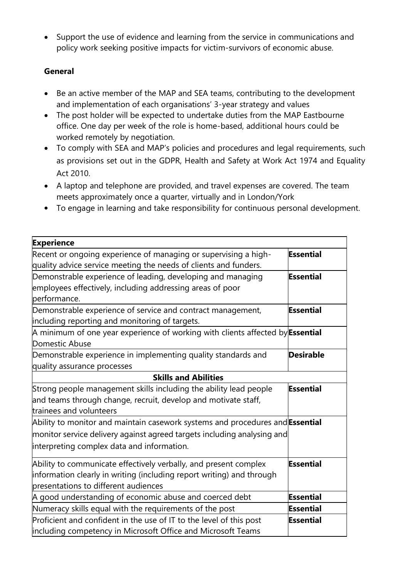• Support the use of evidence and learning from the service in communications and policy work seeking positive impacts for victim-survivors of economic abuse.

# **General**

- Be an active member of the MAP and SEA teams, contributing to the development and implementation of each organisations' 3-year strategy and values
- The post holder will be expected to undertake duties from the MAP Eastbourne office. One day per week of the role is home-based, additional hours could be worked remotely by negotiation.
- To comply with SEA and MAP's policies and procedures and legal requirements, such as provisions set out in the GDPR, Health and Safety at Work Act 1974 and Equality Act 2010.
- A laptop and telephone are provided, and travel expenses are covered. The team meets approximately once a quarter, virtually and in London/York
- To engage in learning and take responsibility for continuous personal development.

| <b>Experience</b>                                                                                                                                                                                      |                  |  |
|--------------------------------------------------------------------------------------------------------------------------------------------------------------------------------------------------------|------------------|--|
| Recent or ongoing experience of managing or supervising a high-<br>quality advice service meeting the needs of clients and funders.                                                                    | <b>Essential</b> |  |
| Demonstrable experience of leading, developing and managing<br>employees effectively, including addressing areas of poor<br>performance.                                                               | Essential        |  |
| Demonstrable experience of service and contract management,<br>including reporting and monitoring of targets.                                                                                          | Essential        |  |
| A minimum of one year experience of working with clients affected by <b>Essential</b><br>Domestic Abuse                                                                                                |                  |  |
| Demonstrable experience in implementing quality standards and<br>quality assurance processes                                                                                                           | <b>Desirable</b> |  |
| <b>Skills and Abilities</b>                                                                                                                                                                            |                  |  |
| Strong people management skills including the ability lead people<br>and teams through change, recruit, develop and motivate staff,<br>trainees and volunteers                                         | Essential        |  |
| Ability to monitor and maintain casework systems and procedures and Essential<br>monitor service delivery against agreed targets including analysing and<br>interpreting complex data and information. |                  |  |
| Ability to communicate effectively verbally, and present complex<br>information clearly in writing (including report writing) and through<br>presentations to different audiences                      | <b>Essential</b> |  |
| A good understanding of economic abuse and coerced debt                                                                                                                                                | Essential        |  |
| Numeracy skills equal with the requirements of the post                                                                                                                                                | Essential        |  |
| Proficient and confident in the use of IT to the level of this post<br>including competency in Microsoft Office and Microsoft Teams                                                                    | Essential        |  |